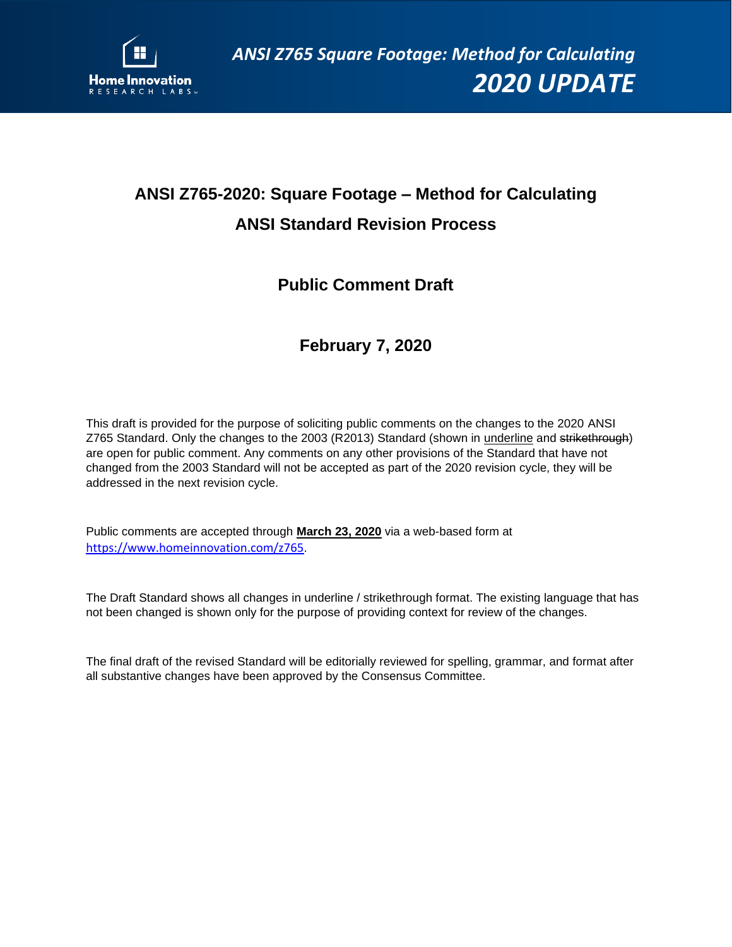

## **ANSI Z765-2020: Square Footage – Method for Calculating ANSI Standard Revision Process**

## **Public Comment Draft**

## **February 7, 2020**

This draft is provided for the purpose of soliciting public comments on the changes to the 2020 ANSI Z765 Standard. Only the changes to the 2003 (R2013) Standard (shown in underline and strikethrough) are open for public comment. Any comments on any other provisions of the Standard that have not changed from the 2003 Standard will not be accepted as part of the 2020 revision cycle, they will be addressed in the next revision cycle.

Public comments are accepted through **March 23, 2020** via a web-based form at <https://www.homeinnovation.com/z765>.

The Draft Standard shows all changes in underline / strikethrough format. The existing language that has not been changed is shown only for the purpose of providing context for review of the changes.

The final draft of the revised Standard will be editorially reviewed for spelling, grammar, and format after all substantive changes have been approved by the Consensus Committee.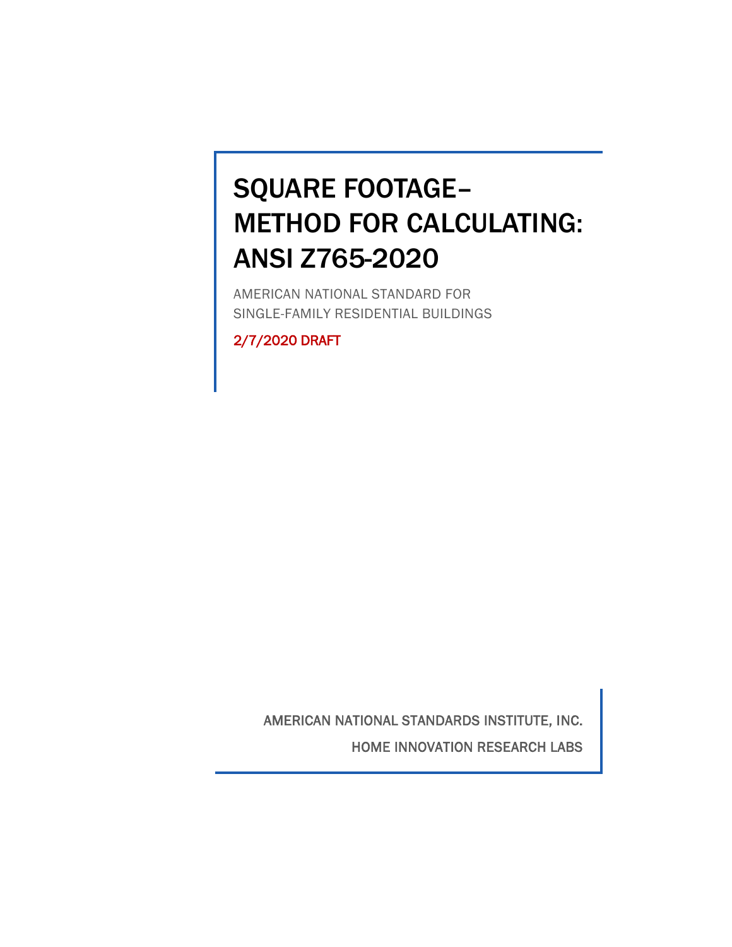# SQUARE FOOTAGE– METHOD FOR CALCULATING: ANSI Z765-2020

AMERICAN NATIONAL STANDARD FOR SINGLE-FAMILY RESIDENTIAL BUILDINGS

2/7/2020 DRAFT

AMERICAN NATIONAL STANDARDS INSTITUTE, INC. HOME INNOVATION RESEARCH LABS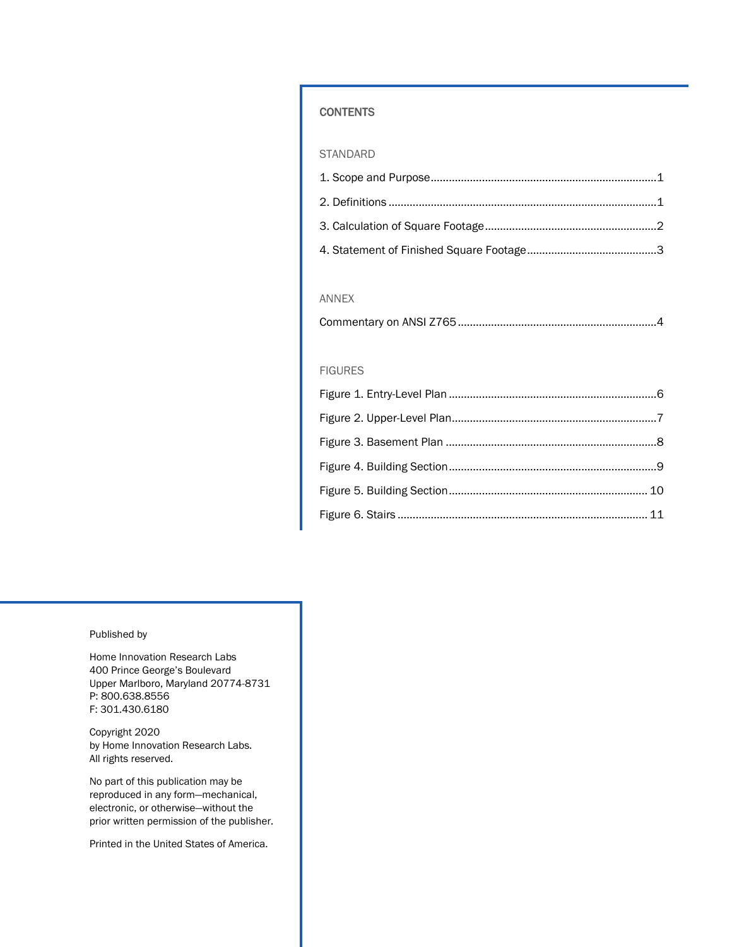#### **CONTENTS**

#### STANDARD

#### ANNEX

#### FIGURES

#### Published by

Home Innovation Research Labs 400 Prince George's Boulevard Upper Marlboro, Maryland 20774-8731 P: 800.638.8556 F: 301.430.6180

Copyright 2020 by Home Innovation Research Labs. All rights reserved.

No part of this publication may be reproduced in any form—mechanical, electronic, or otherwise—without the prior written permission of the publisher.

Printed in the United States of America.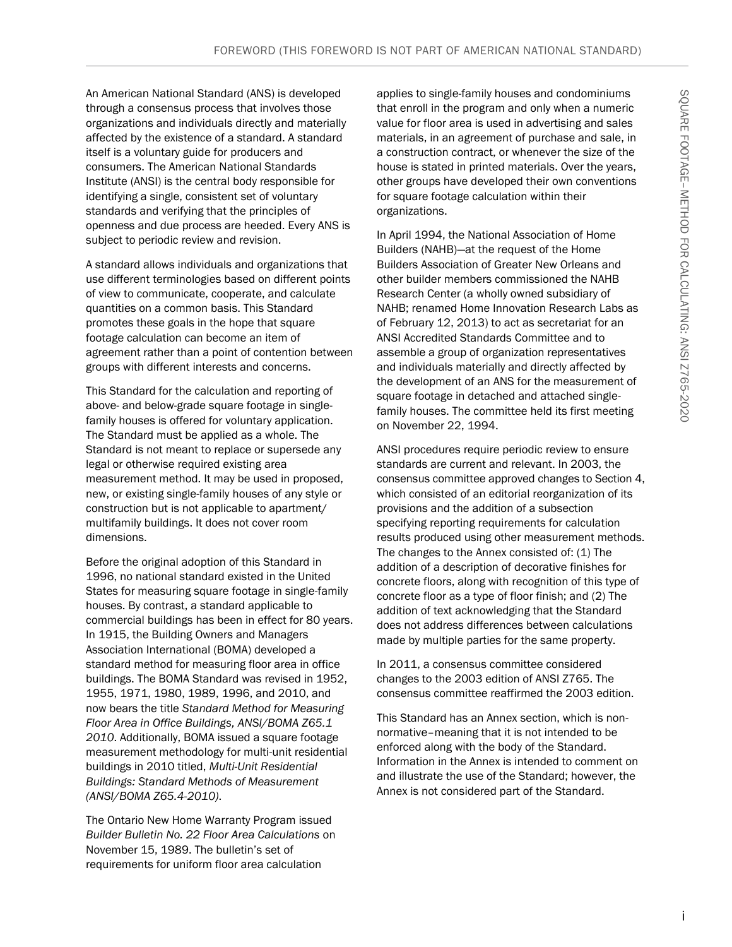An American National Standard (ANS) is developed through a consensus process that involves those organizations and individuals directly and materially affected by the existence of a standard. A standard itself is a voluntary guide for producers and consumers. The American National Standards Institute (ANSI) is the central body responsible for identifying a single, consistent set of voluntary standards and verifying that the principles of openness and due process are heeded. Every ANS is subject to periodic review and revision.

A standard allows individuals and organizations that use different terminologies based on different points of view to communicate, cooperate, and calculate quantities on a common basis. This Standard promotes these goals in the hope that square footage calculation can become an item of agreement rather than a point of contention between groups with different interests and concerns.

This Standard for the calculation and reporting of above- and below-grade square footage in singlefamily houses is offered for voluntary application. The Standard must be applied as a whole. The Standard is not meant to replace or supersede any legal or otherwise required existing area measurement method. It may be used in proposed, new, or existing single-family houses of any style or construction but is not applicable to apartment/ multifamily buildings. It does not cover room dimensions.

Before the original adoption of this Standard in 1996, no national standard existed in the United States for measuring square footage in single-family houses. By contrast, a standard applicable to commercial buildings has been in effect for 80 years. In 1915, the Building Owners and Managers Association International (BOMA) developed a standard method for measuring floor area in office buildings. The BOMA Standard was revised in 1952, 1955, 1971, 1980, 1989, 1996, and 2010, and now bears the title *Standard Method for Measuring Floor Area in Office Buildings, ANSI/BOMA Z65.1 2010*. Additionally, BOMA issued a square footage measurement methodology for multi-unit residential buildings in 2010 titled, *Multi-Unit Residential Buildings: Standard Methods of Measurement (ANSI/BOMA Z65.4-2010)*.

The Ontario New Home Warranty Program issued *Builder Bulletin No. 22 Floor Area Calculations* on November 15, 1989. The bulletin's set of requirements for uniform floor area calculation

applies to single-family houses and condominiums that enroll in the program and only when a numeric value for floor area is used in advertising and sales materials, in an agreement of purchase and sale, in a construction contract, or whenever the size of the house is stated in printed materials. Over the years, other groups have developed their own conventions for square footage calculation within their organizations.

In April 1994, the National Association of Home Builders (NAHB)—at the request of the Home Builders Association of Greater New Orleans and other builder members commissioned the NAHB Research Center (a wholly owned subsidiary of NAHB; renamed Home Innovation Research Labs as of February 12, 2013) to act as secretariat for an ANSI Accredited Standards Committee and to assemble a group of organization representatives and individuals materially and directly affected by the development of an ANS for the measurement of square footage in detached and attached singlefamily houses. The committee held its first meeting on November 22, 1994.

ANSI procedures require periodic review to ensure standards are current and relevant. In 2003, the consensus committee approved changes to Section 4, which consisted of an editorial reorganization of its provisions and the addition of a subsection specifying reporting requirements for calculation results produced using other measurement methods. The changes to the Annex consisted of: (1) The addition of a description of decorative finishes for concrete floors, along with recognition of this type of concrete floor as a type of floor finish; and (2) The addition of text acknowledging that the Standard does not address differences between calculations made by multiple parties for the same property.

In 2011, a consensus committee considered changes to the 2003 edition of ANSI Z765. The consensus committee reaffirmed the 2003 edition.

This Standard has an Annex section, which is nonnormative–meaning that it is not intended to be enforced along with the body of the Standard. Information in the Annex is intended to comment on and illustrate the use of the Standard; however, the Annex is not considered part of the Standard.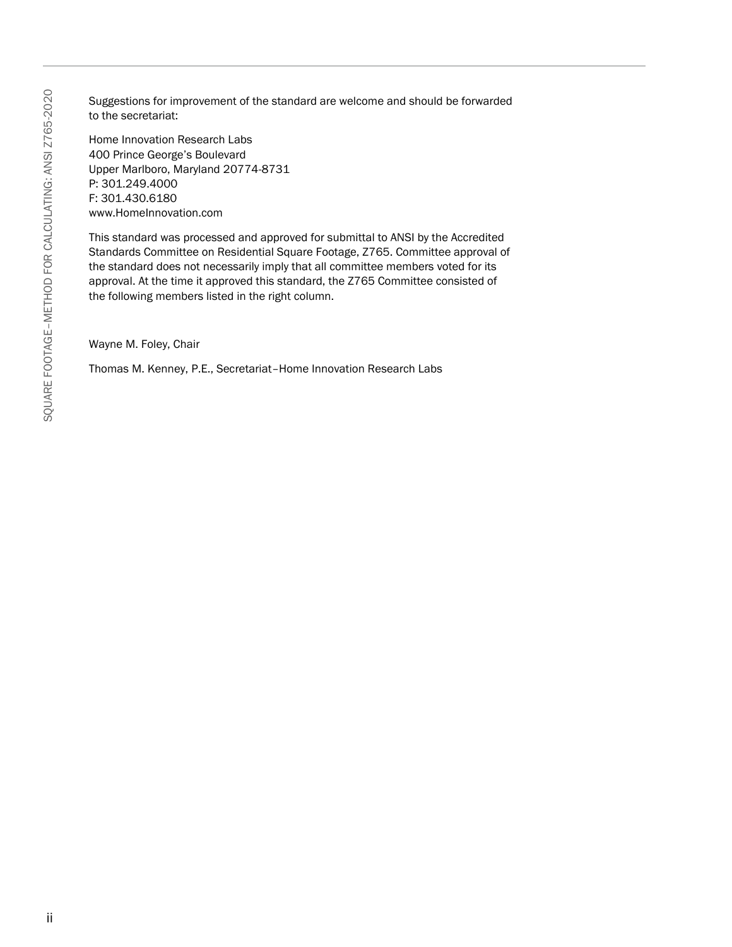Suggestions for improvement of the standard are welcome and should be forwarded to the secretariat:

Home Innovation Research Labs 400 Prince George's Boulevard Upper Marlboro, Maryland 20774-8731 P: 301.249.4000 F: 301.430.6180 www.HomeInnovation.com

This standard was processed and approved for submittal to ANSI by the Accredited Standards Committee on Residential Square Footage, Z765. Committee approval of the standard does not necessarily imply that all committee members voted for its approval. At the time it approved this standard, the Z765 Committee consisted of the following members listed in the right column.

Wayne M. Foley, Chair

Thomas M. Kenney, P.E., Secretariat–Home Innovation Research Labs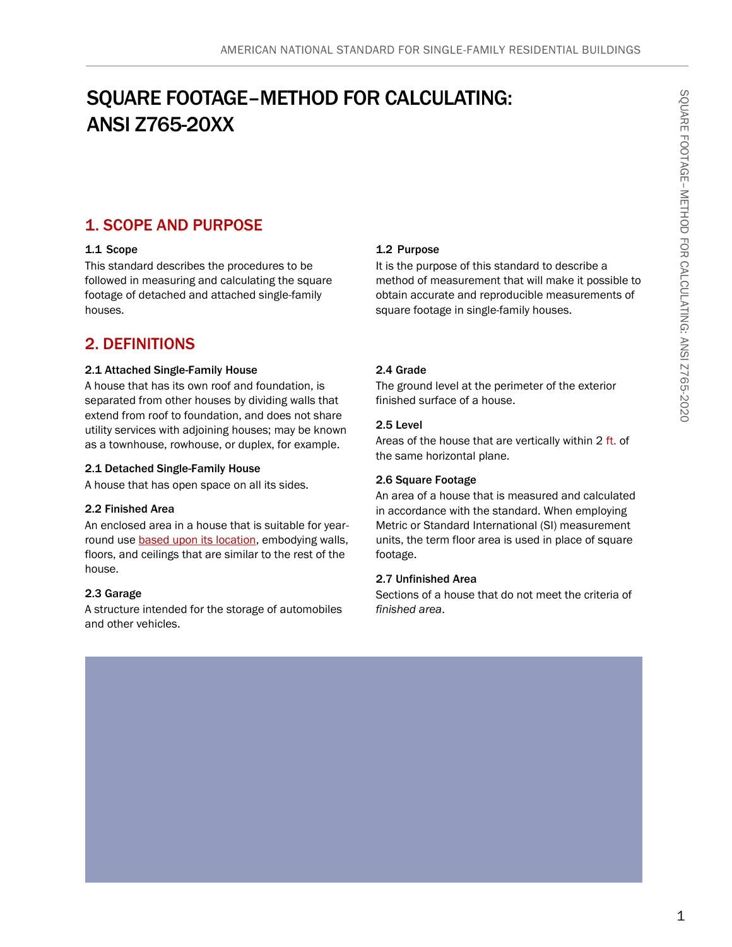## SQUARE FOOTAGE–METHOD FOR CALCULATING: ANSI Z765-20XX

## 1. SCOPE AND PURPOSE

#### 1.1 Scope

This standard describes the procedures to be followed in measuring and calculating the square footage of detached and attached single-family houses.

### 2. DEFINITIONS

#### 2.1 Attached Single-Family House

A house that has its own roof and foundation, is separated from other houses by dividing walls that extend from roof to foundation, and does not share utility services with adjoining houses; may be known as a townhouse, rowhouse, or duplex, for example.

#### 2.1 Detached Single-Family House

A house that has open space on all its sides.

#### 2.2 Finished Area

An enclosed area in a house that is suitable for yearround use **based upon its location**, embodying walls, floors, and ceilings that are similar to the rest of the house.

#### 2.3 Garage

A structure intended for the storage of automobiles and other vehicles.

#### 1.2 Purpose

It is the purpose of this standard to describe a method of measurement that will make it possible to obtain accurate and reproducible measurements of square footage in single-family houses.

#### 2.4 Grade

The ground level at the perimeter of the exterior finished surface of a house.

#### 2.5 Level

Areas of the house that are vertically within 2 ft. of the same horizontal plane.

#### 2.6 Square Footage

An area of a house that is measured and calculated in accordance with the standard. When employing Metric or Standard International (SI) measurement units, the term floor area is used in place of square footage.

#### 2.7 Unfinished Area

Sections of a house that do not meet the criteria of *finished area*.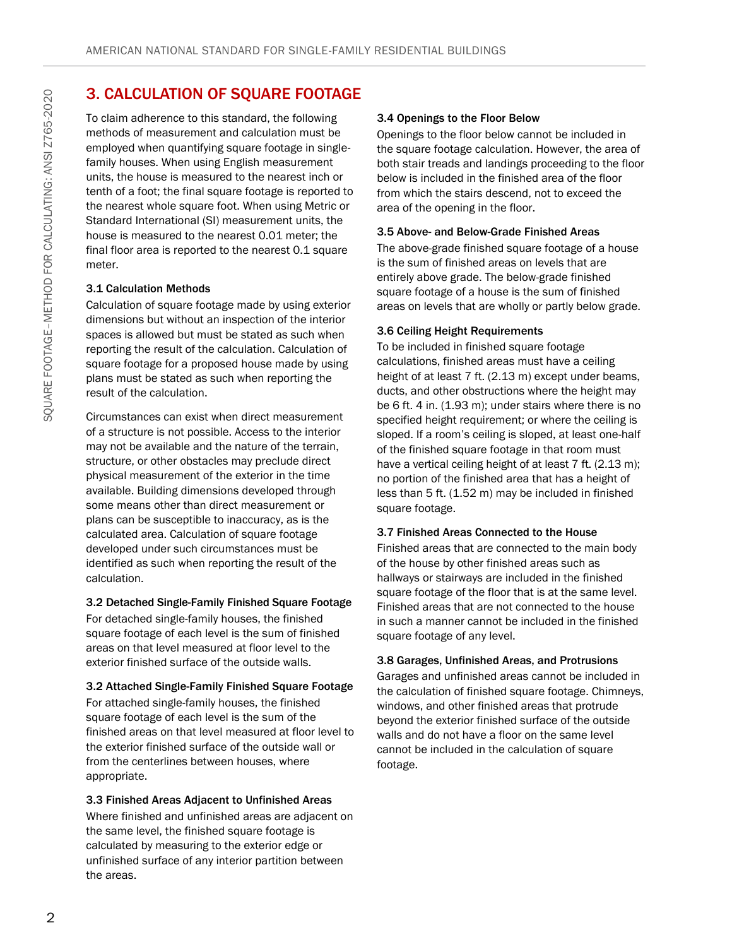## 3. CALCULATION OF SQUARE FOOTAGE

To claim adherence to this standard, the following methods of measurement and calculation must be employed when quantifying square footage in singlefamily houses. When using English measurement units, the house is measured to the nearest inch or tenth of a foot; the final square footage is reported to the nearest whole square foot. When using Metric or Standard International (SI) measurement units, the house is measured to the nearest 0.01 meter; the final floor area is reported to the nearest 0.1 square meter.

#### 3.1 Calculation Methods

Calculation of square footage made by using exterior dimensions but without an inspection of the interior spaces is allowed but must be stated as such when reporting the result of the calculation. Calculation of square footage for a proposed house made by using plans must be stated as such when reporting the result of the calculation.

Circumstances can exist when direct measurement of a structure is not possible. Access to the interior may not be available and the nature of the terrain, structure, or other obstacles may preclude direct physical measurement of the exterior in the time available. Building dimensions developed through some means other than direct measurement or plans can be susceptible to inaccuracy, as is the calculated area. Calculation of square footage developed under such circumstances must be identified as such when reporting the result of the calculation.

#### 3.2 Detached Single-Family Finished Square Footage

For detached single-family houses, the finished square footage of each level is the sum of finished areas on that level measured at floor level to the exterior finished surface of the outside walls.

#### 3.2 Attached Single-Family Finished Square Footage

For attached single-family houses, the finished square footage of each level is the sum of the finished areas on that level measured at floor level to the exterior finished surface of the outside wall or from the centerlines between houses, where appropriate.

#### 3.3 Finished Areas Adjacent to Unfinished Areas

Where finished and unfinished areas are adjacent on the same level, the finished square footage is calculated by measuring to the exterior edge or unfinished surface of any interior partition between the areas.

#### 3.4 Openings to the Floor Below

Openings to the floor below cannot be included in the square footage calculation. However, the area of both stair treads and landings proceeding to the floor below is included in the finished area of the floor from which the stairs descend, not to exceed the area of the opening in the floor.

#### 3.5 Above- and Below-Grade Finished Areas

The above-grade finished square footage of a house is the sum of finished areas on levels that are entirely above grade. The below-grade finished square footage of a house is the sum of finished areas on levels that are wholly or partly below grade.

#### 3.6 Ceiling Height Requirements

To be included in finished square footage calculations, finished areas must have a ceiling height of at least 7 ft. (2.13 m) except under beams, ducts, and other obstructions where the height may be 6 ft. 4 in. (1.93 m); under stairs where there is no specified height requirement; or where the ceiling is sloped. If a room's ceiling is sloped, at least one-half of the finished square footage in that room must have a vertical ceiling height of at least 7 ft. (2.13 m); no portion of the finished area that has a height of less than 5 ft. (1.52 m) may be included in finished square footage.

#### 3.7 Finished Areas Connected to the House

Finished areas that are connected to the main body of the house by other finished areas such as hallways or stairways are included in the finished square footage of the floor that is at the same level. Finished areas that are not connected to the house in such a manner cannot be included in the finished square footage of any level.

#### 3.8 Garages, Unfinished Areas, and Protrusions

Garages and unfinished areas cannot be included in the calculation of finished square footage. Chimneys, windows, and other finished areas that protrude beyond the exterior finished surface of the outside walls and do not have a floor on the same level cannot be included in the calculation of square footage.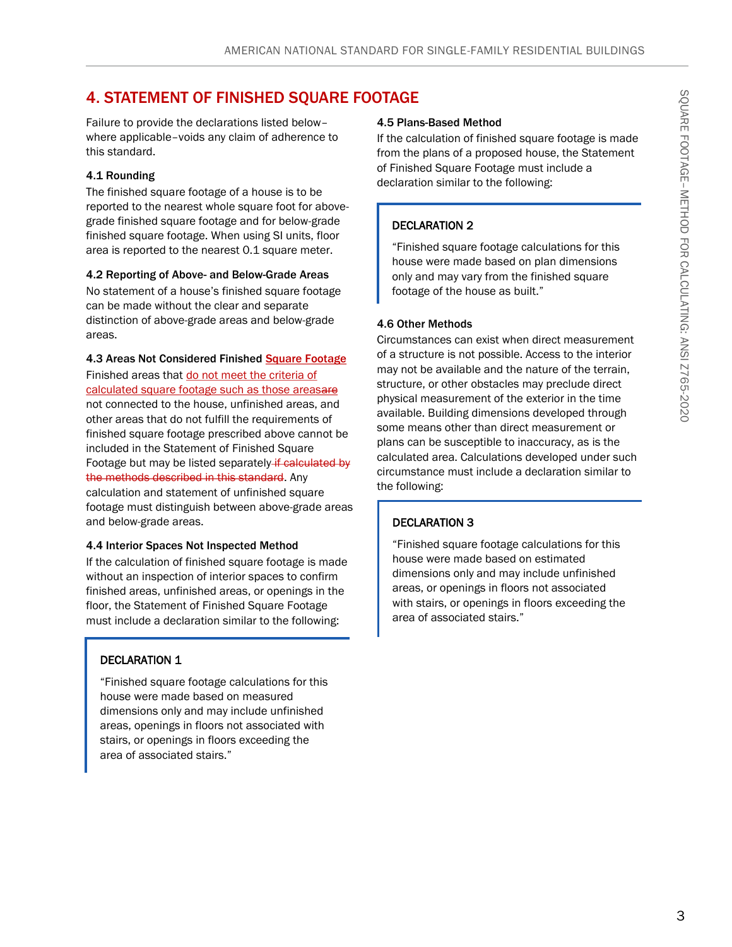## 4. STATEMENT OF FINISHED SQUARE FOOTAGE

Failure to provide the declarations listed below– where applicable–voids any claim of adherence to this standard.

#### 4.1 Rounding

The finished square footage of a house is to be reported to the nearest whole square foot for abovegrade finished square footage and for below-grade finished square footage. When using SI units, floor area is reported to the nearest 0.1 square meter.

#### 4.2 Reporting of Above- and Below-Grade Areas

No statement of a house's finished square footage can be made without the clear and separate distinction of above-grade areas and below-grade areas.

#### 4.3 Areas Not Considered Finished Square Footage

Finished areas that do not meet the criteria of calculated square footage such as those areasare not connected to the house, unfinished areas, and other areas that do not fulfill the requirements of finished square footage prescribed above cannot be included in the Statement of Finished Square Footage but may be listed separately if calculated by the methods described in this standard. Any calculation and statement of unfinished square footage must distinguish between above-grade areas and below-grade areas.

#### 4.4 Interior Spaces Not Inspected Method

If the calculation of finished square footage is made without an inspection of interior spaces to confirm finished areas, unfinished areas, or openings in the floor, the Statement of Finished Square Footage must include a declaration similar to the following:

#### DECLARATION 1

"Finished square footage calculations for this house were made based on measured dimensions only and may include unfinished areas, openings in floors not associated with stairs, or openings in floors exceeding the area of associated stairs."

#### 4.5 Plans-Based Method

If the calculation of finished square footage is made from the plans of a proposed house, the Statement of Finished Square Footage must include a declaration similar to the following:

#### DECLARATION 2

"Finished square footage calculations for this house were made based on plan dimensions only and may vary from the finished square footage of the house as built."

#### 4.6 Other Methods

Circumstances can exist when direct measurement of a structure is not possible. Access to the interior may not be available and the nature of the terrain, structure, or other obstacles may preclude direct physical measurement of the exterior in the time available. Building dimensions developed through some means other than direct measurement or plans can be susceptible to inaccuracy, as is the calculated area. Calculations developed under such circumstance must include a declaration similar to the following:

#### DECLARATION 3

"Finished square footage calculations for this house were made based on estimated dimensions only and may include unfinished areas, or openings in floors not associated with stairs, or openings in floors exceeding the area of associated stairs."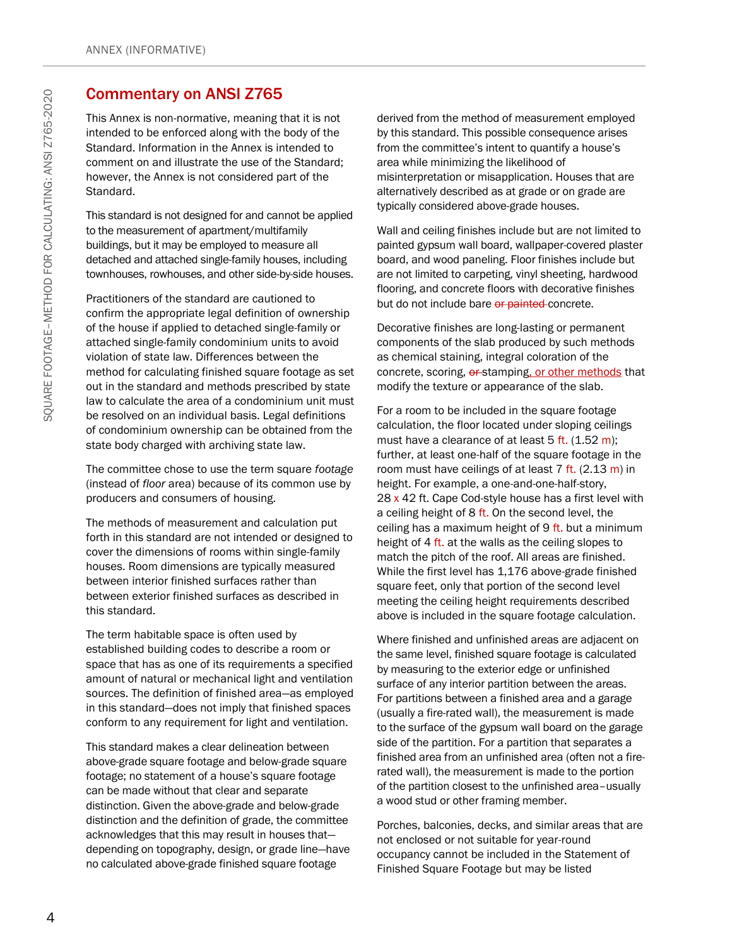## Commentary on ANSI Z765

This Annex is non-normative, meaning that it is not intended to be enforced along with the body of the Standard. Information in the Annex is intended to comment on and illustrate the use of the Standard; however, the Annex is not considered part of the Standard.

This standard is not designed for and cannot be applied to the measurement of apartment/multifamily buildings, but it may be employed to measure all detached and attached single-family houses, including townhouses, rowhouses, and other side-by-side houses.

Practitioners of the standard are cautioned to confirm the appropriate legal definition of ownership of the house if applied to detached single-family or attached single-family condominium units to avoid violation of state law. Differences between the method for calculating finished square footage as set out in the standard and methods prescribed by state law to calculate the area of a condominium unit must be resolved on an individual basis. Legal definitions of condominium ownership can be obtained from the state body charged with archiving state law.

The committee chose to use the term square *footage*  (instead of *floor* area) because of its common use by producers and consumers of housing.

The methods of measurement and calculation put forth in this standard are not intended or designed to cover the dimensions of rooms within single-family houses. Room dimensions are typically measured between interior finished surfaces rather than between exterior finished surfaces as described in this standard.

The term habitable space is often used by established building codes to describe a room or space that has as one of its requirements a specified amount of natural or mechanical light and ventilation sources. The definition of finished area—as employed in this standard—does not imply that finished spaces conform to any requirement for light and ventilation.

This standard makes a clear delineation between above-grade square footage and below-grade square footage; no statement of a house's square footage can be made without that clear and separate distinction. Given the above-grade and below-grade distinction and the definition of grade, the committee acknowledges that this may result in houses that depending on topography, design, or grade line—have no calculated above-grade finished square footage

derived from the method of measurement employed by this standard. This possible consequence arises from the committee's intent to quantify a house's area while minimizing the likelihood of misinterpretation or misapplication. Houses that are alternatively described as at grade or on grade are typically considered above-grade houses.

Wall and ceiling finishes include but are not limited to painted gypsum wall board, wallpaper-covered plaster board, and wood paneling. Floor finishes include but are not limited to carpeting, vinyl sheeting, hardwood flooring, and concrete floors with decorative finishes but do not include bare or painted concrete.

Decorative finishes are long-lasting or permanent components of the slab produced by such methods as chemical staining, integral coloration of the concrete, scoring,  $\theta$  stamping, or other methods that modify the texture or appearance of the slab.

For a room to be included in the square footage calculation, the floor located under sloping ceilings must have a clearance of at least  $5$  ft. (1.52 m); further, at least one-half of the square footage in the room must have ceilings of at least  $7$  ft. (2.13 m) in height. For example, a one-and-one-half-story, 28  $\times$  42 ft. Cape Cod-style house has a first level with a ceiling height of 8 ft. On the second level, the ceiling has a maximum height of  $9$  ft. but a minimum height of 4 ft. at the walls as the ceiling slopes to match the pitch of the roof. All areas are finished. While the first level has 1,176 above-grade finished square feet, only that portion of the second level meeting the ceiling height requirements described above is included in the square footage calculation.

Where finished and unfinished areas are adjacent on the same level, finished square footage is calculated by measuring to the exterior edge or unfinished surface of any interior partition between the areas. For partitions between a finished area and a garage (usually a fire-rated wall), the measurement is made to the surface of the gypsum wall board on the garage side of the partition. For a partition that separates a finished area from an unfinished area (often not a firerated wall), the measurement is made to the portion of the partition closest to the unfinished area–usually a wood stud or other framing member.

Porches, balconies, decks, and similar areas that are not enclosed or not suitable for year-round occupancy cannot be included in the Statement of Finished Square Footage but may be listed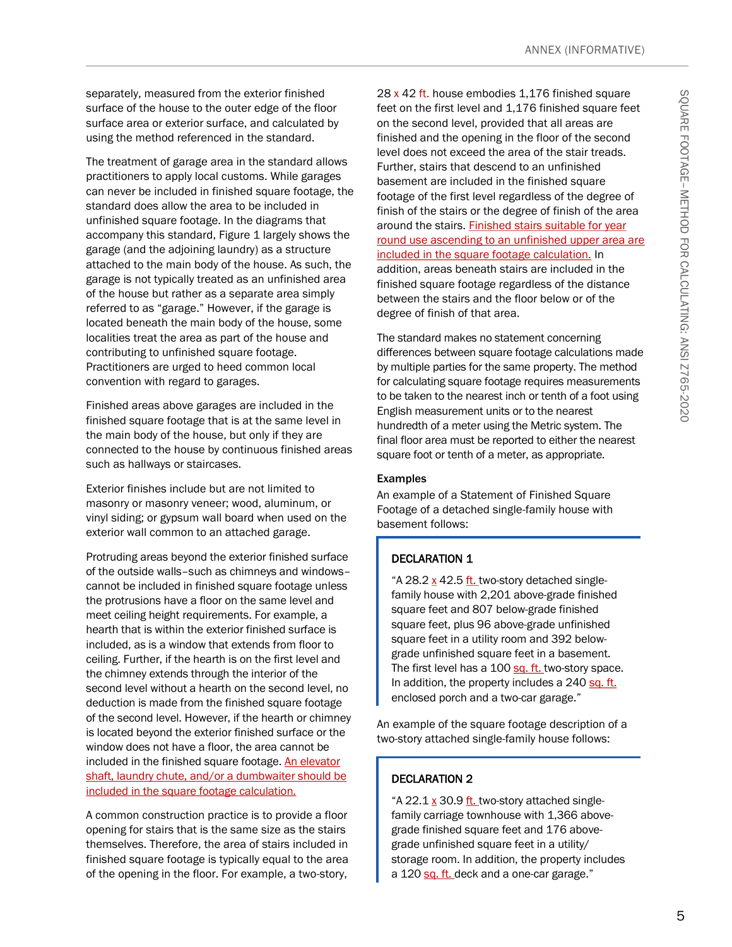separately, measured from the exterior finished surface of the house to the outer edge of the floor surface area or exterior surface, and calculated by using the method referenced in the standard.

The treatment of garage area in the standard allows practitioners to apply local customs. While garages can never be included in finished square footage, the standard does allow the area to be included in unfinished square footage. In the diagrams that accompany this standard, Figure 1 largely shows the garage (and the adjoining laundry) as a structure attached to the main body of the house. As such, the garage is not typically treated as an unfinished area of the house but rather as a separate area simply referred to as "garage." However, if the garage is located beneath the main body of the house, some localities treat the area as part of the house and contributing to unfinished square footage. Practitioners are urged to heed common local convention with regard to garages.

Finished areas above garages are included in the finished square footage that is at the same level in the main body of the house, but only if they are connected to the house by continuous finished areas such as hallways or staircases.

Exterior finishes include but are not limited to masonry or masonry veneer; wood, aluminum, or vinyl siding; or gypsum wall board when used on the exterior wall common to an attached garage.

Protruding areas beyond the exterior finished surface of the outside walls–such as chimneys and windows– cannot be included in finished square footage unless the protrusions have a floor on the same level and meet ceiling height requirements. For example, a hearth that is within the exterior finished surface is included, as is a window that extends from floor to ceiling. Further, if the hearth is on the first level and the chimney extends through the interior of the second level without a hearth on the second level, no deduction is made from the finished square footage of the second level. However, if the hearth or chimney is located beyond the exterior finished surface or the window does not have a floor, the area cannot be included in the finished square footage. An elevator shaft, laundry chute, and/or a dumbwaiter should be included in the square footage calculation.

A common construction practice is to provide a floor opening for stairs that is the same size as the stairs themselves. Therefore, the area of stairs included in finished square footage is typically equal to the area of the opening in the floor. For example, a two-story,

28 x 42 ft. house embodies 1,176 finished square feet on the first level and 1,176 finished square feet on the second level, provided that all areas are finished and the opening in the floor of the second level does not exceed the area of the stair treads. Further, stairs that descend to an unfinished basement are included in the finished square footage of the first level regardless of the degree of finish of the stairs or the degree of finish of the area around the stairs. Finished stairs suitable for year round use ascending to an unfinished upper area are included in the square footage calculation. In addition, areas beneath stairs are included in the finished square footage regardless of the distance between the stairs and the floor below or of the degree of finish of that area.

The standard makes no statement concerning differences between square footage calculations made by multiple parties for the same property. The method for calculating square footage requires measurements to be taken to the nearest inch or tenth of a foot using English measurement units or to the nearest hundredth of a meter using the Metric system. The final floor area must be reported to either the nearest square foot or tenth of a meter, as appropriate.

#### Examples

An example of a Statement of Finished Square Footage of a detached single-family house with basement follows:

#### DECLARATION 1

"A 28.2 x 42.5 ft. two-story detached singlefamily house with 2,201 above-grade finished square feet and 807 below-grade finished square feet, plus 96 above-grade unfinished square feet in a utility room and 392 belowgrade unfinished square feet in a basement. The first level has a 100 sq. ft. two-story space. In addition, the property includes a 240 sq. ft. enclosed porch and a two-car garage."

An example of the square footage description of a two-story attached single-family house follows:

#### DECLARATION 2

"A 22.1 x 30.9 ft. two-story attached singlefamily carriage townhouse with 1,366 abovegrade finished square feet and 176 abovegrade unfinished square feet in a utility/ storage room. In addition, the property includes a 120 sq. ft. deck and a one-car garage."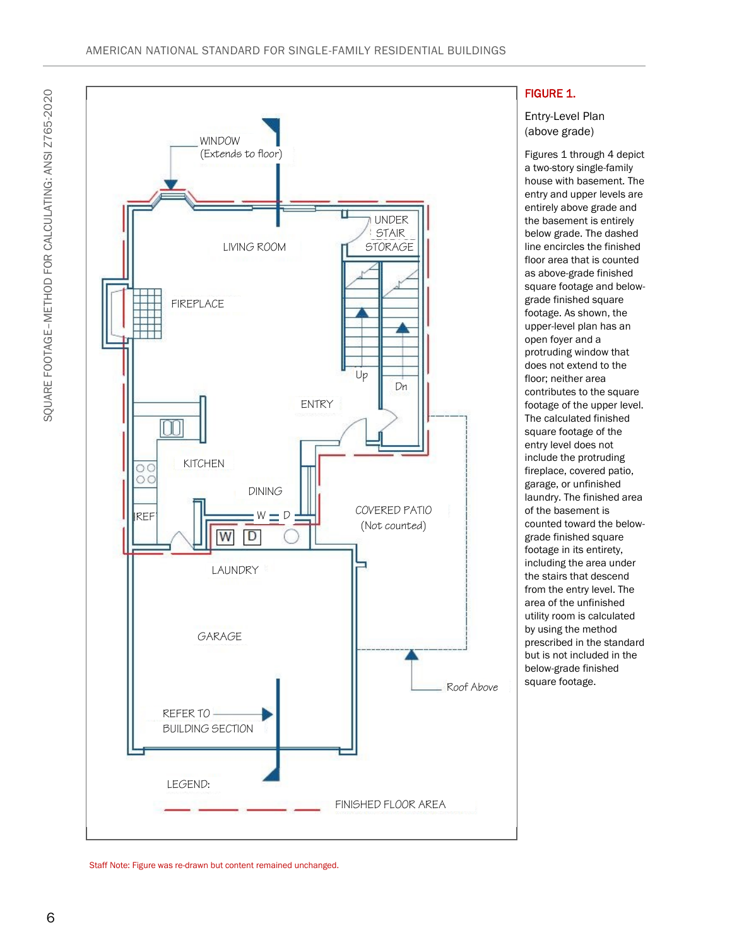

#### FIGURE 1.

Entry-Level Plan (above grade)

Figures 1 through 4 depict a two-story single-family house with basement. The entry and upper levels are entirely above grade and the basement is entirely below grade. The dashed line encircles the finished floor area that is counted as above-grade finished square footage and belowgrade finished square footage. As shown, the upper-level plan has an open foyer and a protruding window that does not extend to the floor; neither area contributes to the square footage of the upper level. The calculated finished square footage of the entry level does not include the protruding fireplace, covered patio, garage, or unfinished laundry. The finished area of the basement is counted toward the belowgrade finished square footage in its entirety, including the area under the stairs that descend from the entry level. The area of the unfinished utility room is calculated by using the method prescribed in the standard but is not included in the below-grade finished square footage.

Staff Note: Figure was re-drawn but content remained unchanged.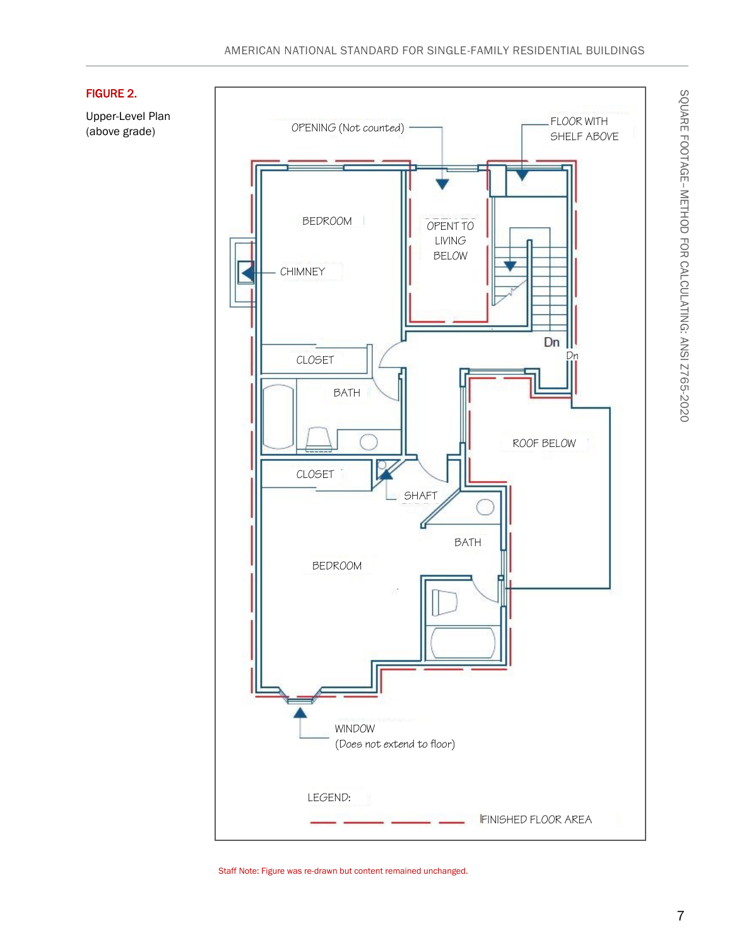

#### FIGURE 2.

Upper-Level Plan (above grade)

Staff Note: Figure was re-drawn but content remained unchanged.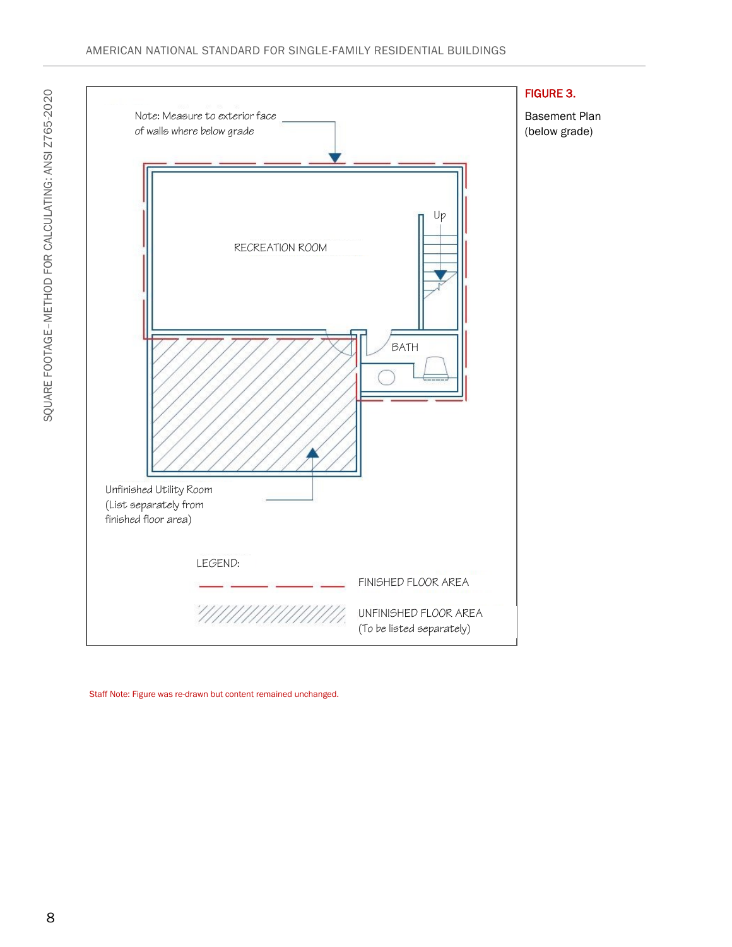

Staff Note: Figure was re-drawn but content remained unchanged.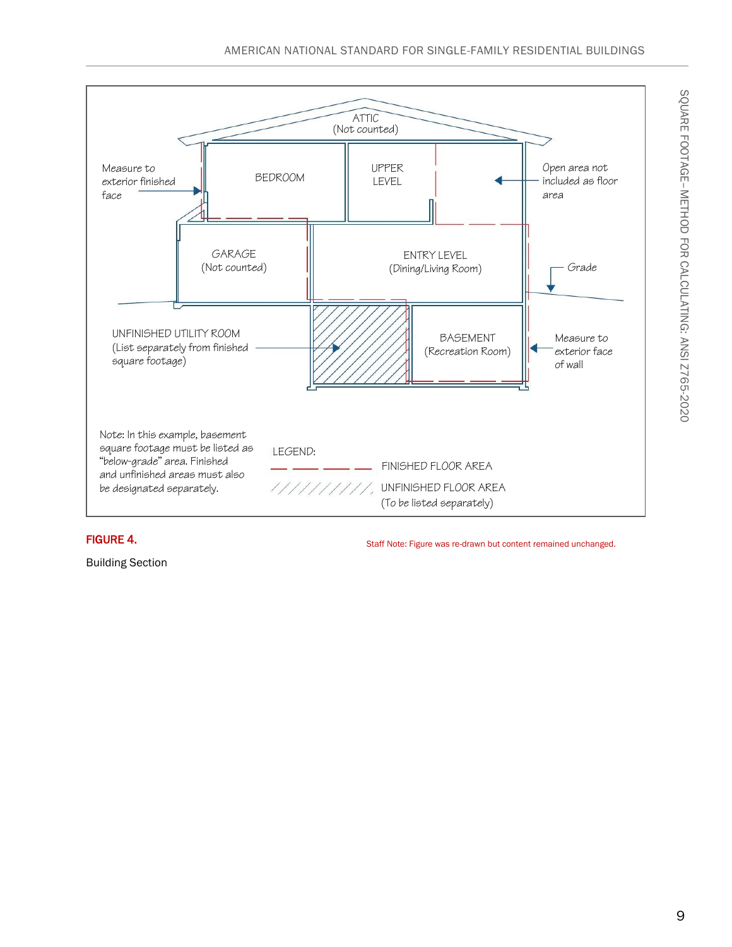

#### FIGURE 4.

Building Section

Staff Note: Figure was re-drawn but content remained unchanged.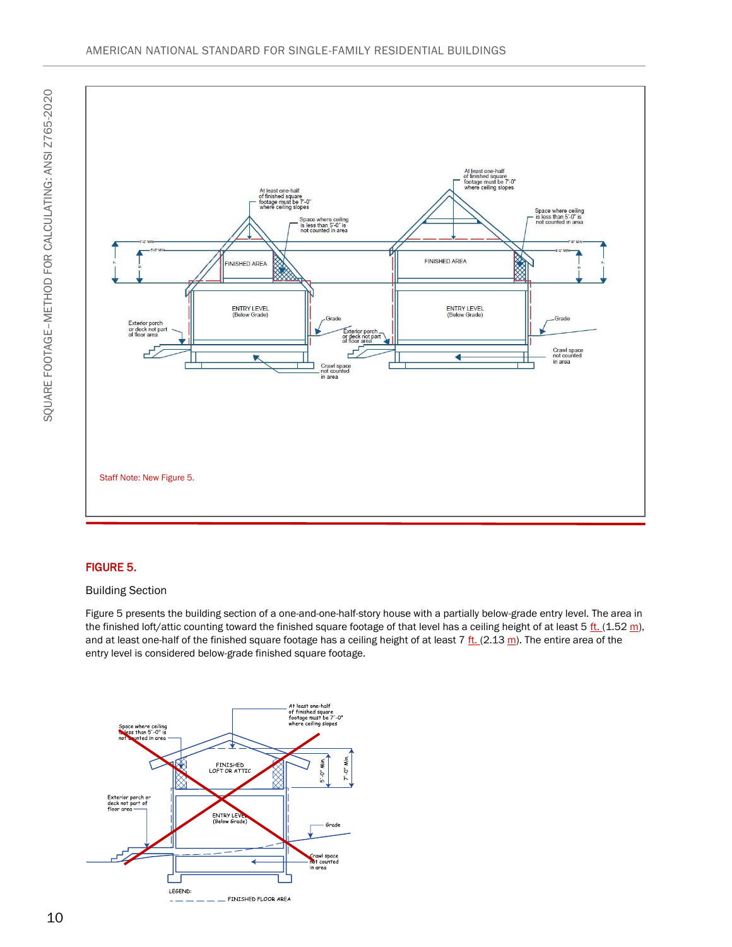

#### FIGURE 5.

#### Building Section

Figure 5 presents the building section of a one-and-one-half-story house with a partially below-grade entry level. The area in the finished loft/attic counting toward the finished square footage of that level has a ceiling height of at least 5  $\frac{\text{ft.}}{\text{ft.}}(1.52 \text{ m})$ , and at least one-half of the finished square footage has a ceiling height of at least 7  $f_{\rm L}$  (2.13 m). The entire area of the entry level is considered below-grade finished square footage.

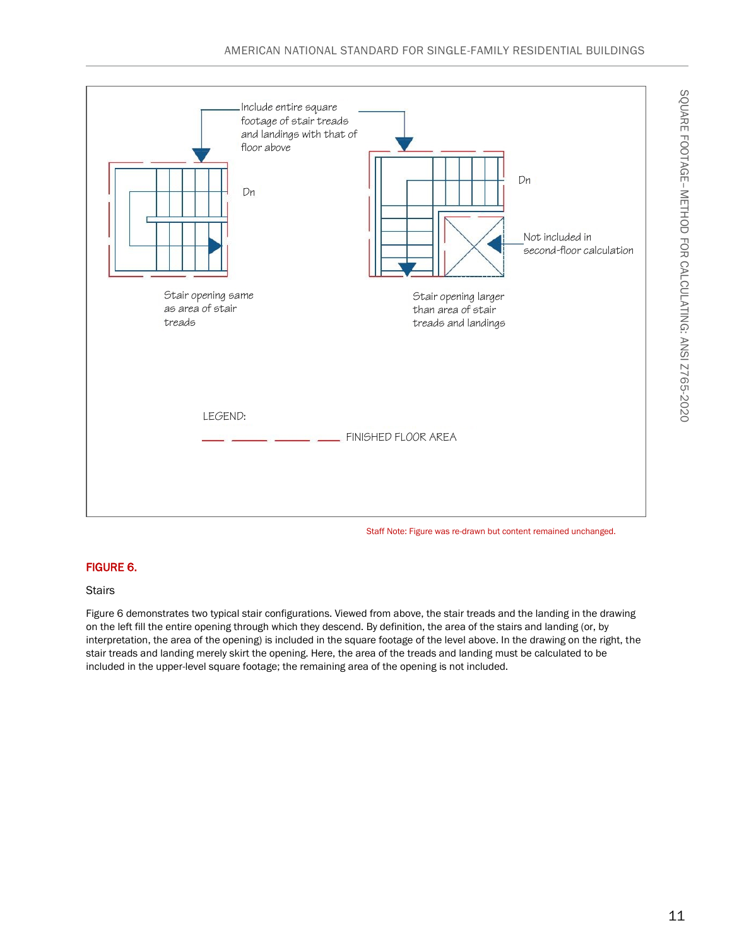

#### Staff Note: Figure was re-drawn but content remained unchanged.

#### FIGURE 6.

#### **Stairs**

Figure 6 demonstrates two typical stair configurations. Viewed from above, the stair treads and the landing in the drawing on the left fill the entire opening through which they descend. By definition, the area of the stairs and landing (or, by interpretation, the area of the opening) is included in the square footage of the level above. In the drawing on the right, the stair treads and landing merely skirt the opening. Here, the area of the treads and landing must be calculated to be included in the upper-level square footage; the remaining area of the opening is not included.

METHOD FOR CALCULATING: ANSI Z765-2020

SQUARE FOOTAGE